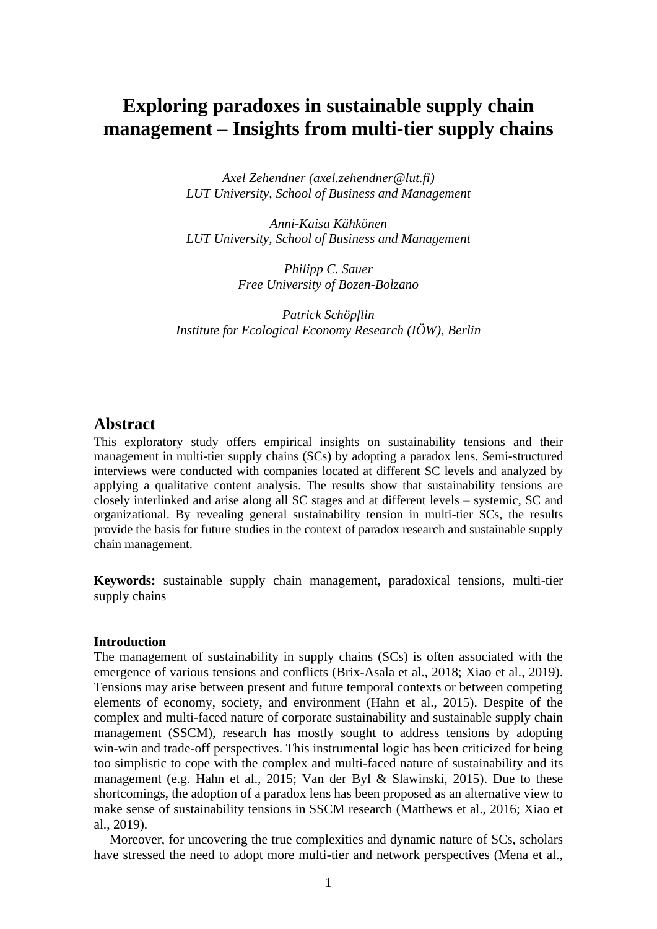# **Exploring paradoxes in sustainable supply chain management – Insights from multi-tier supply chains**

*Axel Zehendner [\(axel.zehendner@lut.fi\)](mailto:axel.zehendner@lut.fi) LUT University, School of Business and Management*

*Anni-Kaisa Kähkönen LUT University, School of Business and Management*

> *Philipp C. Sauer Free University of Bozen-Bolzano*

*Patrick Schöpflin Institute for Ecological Economy Research (IÖW), Berlin*

## **Abstract**

This exploratory study offers empirical insights on sustainability tensions and their management in multi-tier supply chains (SCs) by adopting a paradox lens. Semi-structured interviews were conducted with companies located at different SC levels and analyzed by applying a qualitative content analysis. The results show that sustainability tensions are closely interlinked and arise along all SC stages and at different levels – systemic, SC and organizational. By revealing general sustainability tension in multi-tier SCs, the results provide the basis for future studies in the context of paradox research and sustainable supply chain management.

**Keywords:** sustainable supply chain management, paradoxical tensions, multi-tier supply chains

#### **Introduction**

The management of sustainability in supply chains (SCs) is often associated with the emergence of various tensions and conflicts (Brix-Asala et al., 2018; Xiao et al., 2019). Tensions may arise between present and future temporal contexts or between competing elements of economy, society, and environment (Hahn et al., 2015). Despite of the complex and multi-faced nature of corporate sustainability and sustainable supply chain management (SSCM), research has mostly sought to address tensions by adopting win-win and trade-off perspectives. This instrumental logic has been criticized for being too simplistic to cope with the complex and multi-faced nature of sustainability and its management (e.g. Hahn et al., 2015; Van der Byl & Slawinski, 2015). Due to these shortcomings, the adoption of a paradox lens has been proposed as an alternative view to make sense of sustainability tensions in SSCM research (Matthews et al., 2016; Xiao et al., 2019).

Moreover, for uncovering the true complexities and dynamic nature of SCs, scholars have stressed the need to adopt more multi-tier and network perspectives (Mena et al.,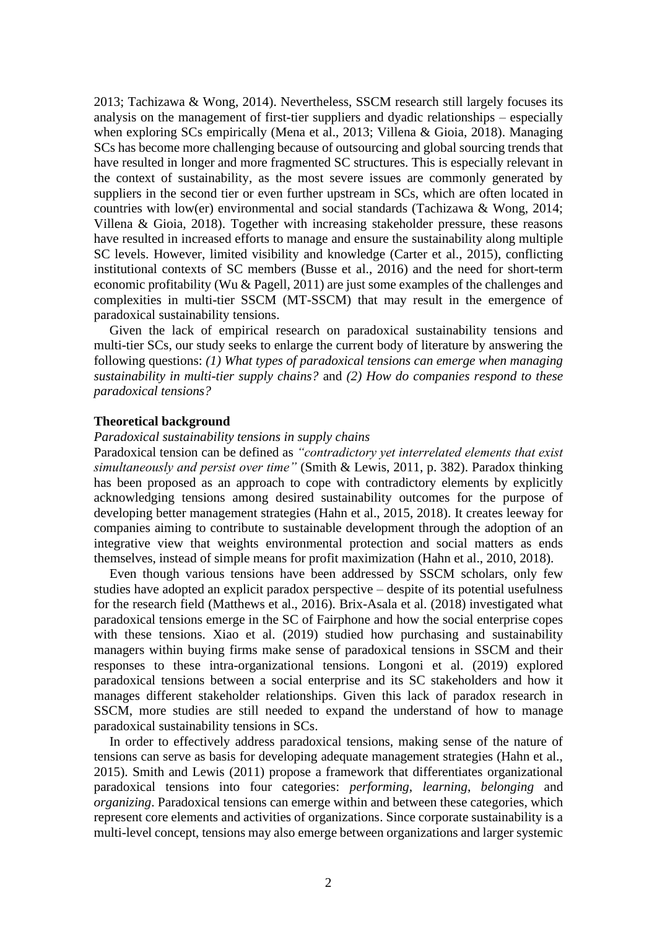2013; Tachizawa & Wong, 2014). Nevertheless, SSCM research still largely focuses its analysis on the management of first-tier suppliers and dyadic relationships – especially when exploring SCs empirically (Mena et al., 2013; Villena & Gioia, 2018). Managing SCs has become more challenging because of outsourcing and global sourcing trends that have resulted in longer and more fragmented SC structures. This is especially relevant in the context of sustainability, as the most severe issues are commonly generated by suppliers in the second tier or even further upstream in SCs, which are often located in countries with low(er) environmental and social standards (Tachizawa & Wong, 2014; Villena & Gioia, 2018). Together with increasing stakeholder pressure, these reasons have resulted in increased efforts to manage and ensure the sustainability along multiple SC levels. However, limited visibility and knowledge (Carter et al., 2015), conflicting institutional contexts of SC members (Busse et al., 2016) and the need for short-term economic profitability (Wu & Pagell, 2011) are just some examples of the challenges and complexities in multi-tier SSCM (MT-SSCM) that may result in the emergence of paradoxical sustainability tensions.

Given the lack of empirical research on paradoxical sustainability tensions and multi-tier SCs, our study seeks to enlarge the current body of literature by answering the following questions: *(1) What types of paradoxical tensions can emerge when managing sustainability in multi-tier supply chains?* and *(2) How do companies respond to these paradoxical tensions?*

#### **Theoretical background**

#### *Paradoxical sustainability tensions in supply chains*

Paradoxical tension can be defined as *"contradictory yet interrelated elements that exist simultaneously and persist over time"* (Smith & Lewis, 2011, p. 382). Paradox thinking has been proposed as an approach to cope with contradictory elements by explicitly acknowledging tensions among desired sustainability outcomes for the purpose of developing better management strategies (Hahn et al., 2015, 2018). It creates leeway for companies aiming to contribute to sustainable development through the adoption of an integrative view that weights environmental protection and social matters as ends themselves, instead of simple means for profit maximization (Hahn et al., 2010, 2018).

Even though various tensions have been addressed by SSCM scholars, only few studies have adopted an explicit paradox perspective – despite of its potential usefulness for the research field (Matthews et al., 2016). Brix-Asala et al. (2018) investigated what paradoxical tensions emerge in the SC of Fairphone and how the social enterprise copes with these tensions. Xiao et al. (2019) studied how purchasing and sustainability managers within buying firms make sense of paradoxical tensions in SSCM and their responses to these intra-organizational tensions. Longoni et al. (2019) explored paradoxical tensions between a social enterprise and its SC stakeholders and how it manages different stakeholder relationships. Given this lack of paradox research in SSCM, more studies are still needed to expand the understand of how to manage paradoxical sustainability tensions in SCs.

In order to effectively address paradoxical tensions, making sense of the nature of tensions can serve as basis for developing adequate management strategies (Hahn et al., 2015). Smith and Lewis (2011) propose a framework that differentiates organizational paradoxical tensions into four categories: *performing*, *learning*, *belonging* and *organizing*. Paradoxical tensions can emerge within and between these categories, which represent core elements and activities of organizations. Since corporate sustainability is a multi-level concept, tensions may also emerge between organizations and larger systemic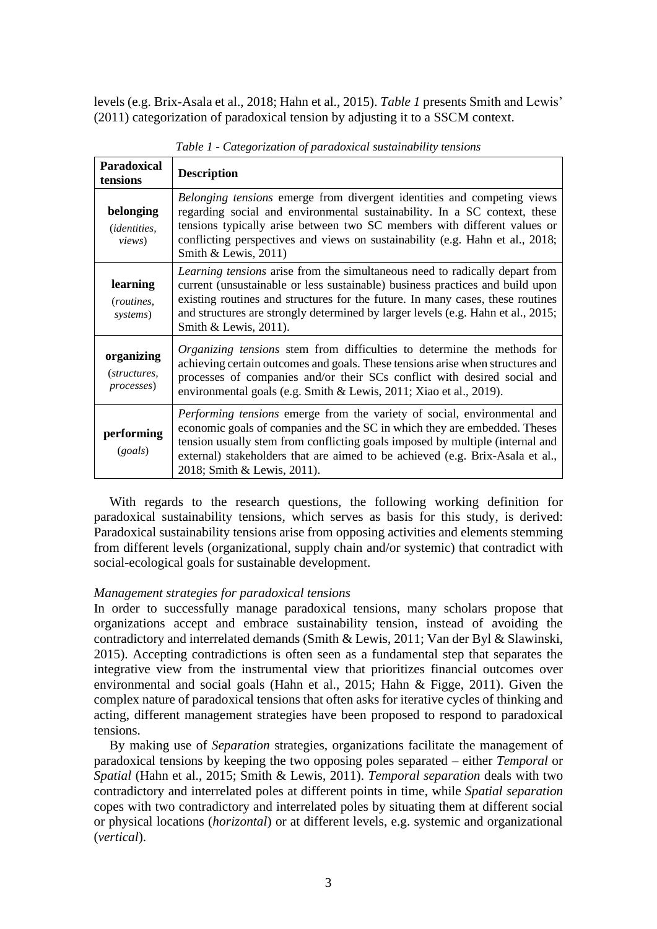levels (e.g. Brix-Asala et al., 2018; Hahn et al., 2015). *[Table 1](#page-2-0)* presents Smith and Lewis' (2011) categorization of paradoxical tension by adjusting it to a SSCM context.

<span id="page-2-0"></span>

| <b>Paradoxical</b><br>tensions                     | <b>Description</b>                                                                                                                                                                                                                                                                                                                                            |
|----------------------------------------------------|---------------------------------------------------------------------------------------------------------------------------------------------------------------------------------------------------------------------------------------------------------------------------------------------------------------------------------------------------------------|
| belonging<br><i>(identities,</i><br><i>views</i> ) | <i>Belonging tensions</i> emerge from divergent identities and competing views<br>regarding social and environmental sustainability. In a SC context, these<br>tensions typically arise between two SC members with different values or<br>conflicting perspectives and views on sustainability (e.g. Hahn et al., 2018;<br>Smith & Lewis, $2011$ )           |
| learning<br>( <i>routines</i> ,<br>systems)        | Learning tensions arise from the simultaneous need to radically depart from<br>current (unsustainable or less sustainable) business practices and build upon<br>existing routines and structures for the future. In many cases, these routines<br>and structures are strongly determined by larger levels (e.g. Hahn et al., 2015;<br>Smith & Lewis, 2011).   |
| organizing<br>(structures,<br>processes)           | Organizing tensions stem from difficulties to determine the methods for<br>achieving certain outcomes and goals. These tensions arise when structures and<br>processes of companies and/or their SCs conflict with desired social and<br>environmental goals (e.g. Smith & Lewis, 2011; Xiao et al., 2019).                                                   |
| performing<br>(goals)                              | <i>Performing tensions</i> emerge from the variety of social, environmental and<br>economic goals of companies and the SC in which they are embedded. Theses<br>tension usually stem from conflicting goals imposed by multiple (internal and<br>external) stakeholders that are aimed to be achieved (e.g. Brix-Asala et al.,<br>2018; Smith & Lewis, 2011). |

*Table 1 - Categorization of paradoxical sustainability tensions*

With regards to the research questions, the following working definition for paradoxical sustainability tensions, which serves as basis for this study, is derived: Paradoxical sustainability tensions arise from opposing activities and elements stemming from different levels (organizational, supply chain and/or systemic) that contradict with social-ecological goals for sustainable development.

#### *Management strategies for paradoxical tensions*

In order to successfully manage paradoxical tensions, many scholars propose that organizations accept and embrace sustainability tension, instead of avoiding the contradictory and interrelated demands (Smith & Lewis, 2011; Van der Byl & Slawinski, 2015). Accepting contradictions is often seen as a fundamental step that separates the integrative view from the instrumental view that prioritizes financial outcomes over environmental and social goals (Hahn et al., 2015; Hahn & Figge, 2011). Given the complex nature of paradoxical tensions that often asks for iterative cycles of thinking and acting, different management strategies have been proposed to respond to paradoxical tensions.

By making use of *Separation* strategies, organizations facilitate the management of paradoxical tensions by keeping the two opposing poles separated – either *Temporal* or *Spatial* (Hahn et al., 2015; Smith & Lewis, 2011). *Temporal separation* deals with two contradictory and interrelated poles at different points in time, while *Spatial separation* copes with two contradictory and interrelated poles by situating them at different social or physical locations (*horizontal*) or at different levels, e.g. systemic and organizational (*vertical*).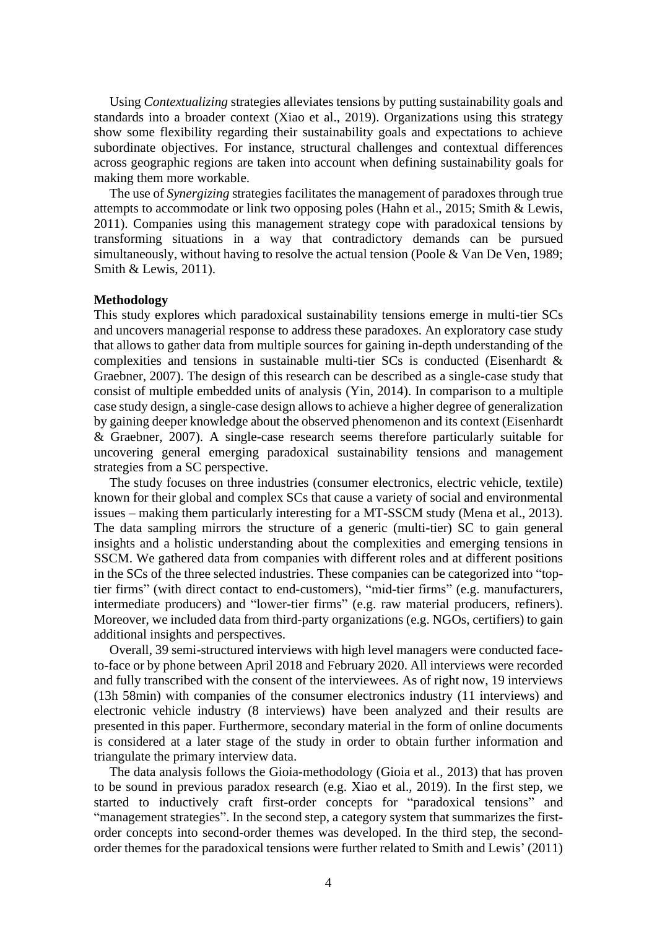Using *Contextualizing* strategies alleviates tensions by putting sustainability goals and standards into a broader context (Xiao et al., 2019). Organizations using this strategy show some flexibility regarding their sustainability goals and expectations to achieve subordinate objectives. For instance, structural challenges and contextual differences across geographic regions are taken into account when defining sustainability goals for making them more workable.

The use of *Synergizing* strategies facilitates the management of paradoxes through true attempts to accommodate or link two opposing poles (Hahn et al., 2015; Smith & Lewis, 2011). Companies using this management strategy cope with paradoxical tensions by transforming situations in a way that contradictory demands can be pursued simultaneously, without having to resolve the actual tension (Poole & Van De Ven, 1989; Smith & Lewis, 2011).

#### **Methodology**

This study explores which paradoxical sustainability tensions emerge in multi-tier SCs and uncovers managerial response to address these paradoxes. An exploratory case study that allows to gather data from multiple sources for gaining in-depth understanding of the complexities and tensions in sustainable multi-tier SCs is conducted (Eisenhardt & Graebner, 2007). The design of this research can be described as a single-case study that consist of multiple embedded units of analysis (Yin, 2014). In comparison to a multiple case study design, a single-case design allows to achieve a higher degree of generalization by gaining deeper knowledge about the observed phenomenon and its context (Eisenhardt & Graebner, 2007). A single-case research seems therefore particularly suitable for uncovering general emerging paradoxical sustainability tensions and management strategies from a SC perspective.

The study focuses on three industries (consumer electronics, electric vehicle, textile) known for their global and complex SCs that cause a variety of social and environmental issues – making them particularly interesting for a MT-SSCM study (Mena et al., 2013). The data sampling mirrors the structure of a generic (multi-tier) SC to gain general insights and a holistic understanding about the complexities and emerging tensions in SSCM. We gathered data from companies with different roles and at different positions in the SCs of the three selected industries. These companies can be categorized into "toptier firms" (with direct contact to end-customers), "mid-tier firms" (e.g. manufacturers, intermediate producers) and "lower-tier firms" (e.g. raw material producers, refiners). Moreover, we included data from third-party organizations (e.g. NGOs, certifiers) to gain additional insights and perspectives.

Overall, 39 semi-structured interviews with high level managers were conducted faceto-face or by phone between April 2018 and February 2020. All interviews were recorded and fully transcribed with the consent of the interviewees. As of right now, 19 interviews (13h 58min) with companies of the consumer electronics industry (11 interviews) and electronic vehicle industry (8 interviews) have been analyzed and their results are presented in this paper. Furthermore, secondary material in the form of online documents is considered at a later stage of the study in order to obtain further information and triangulate the primary interview data.

The data analysis follows the Gioia-methodology (Gioia et al., 2013) that has proven to be sound in previous paradox research (e.g. Xiao et al., 2019). In the first step, we started to inductively craft first-order concepts for "paradoxical tensions" and "management strategies". In the second step, a category system that summarizes the firstorder concepts into second-order themes was developed. In the third step, the secondorder themes for the paradoxical tensions were further related to Smith and Lewis' (2011)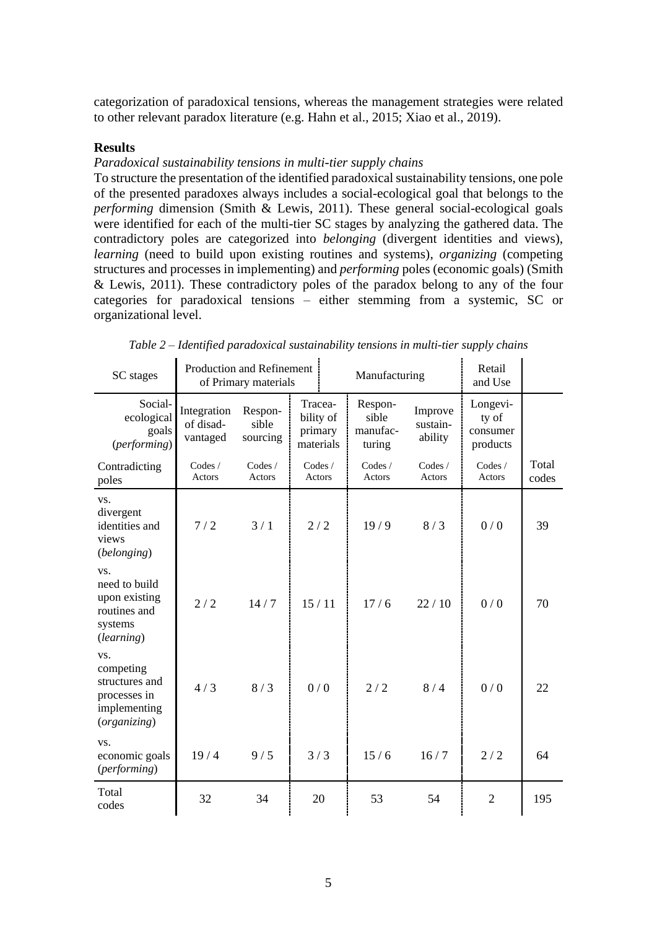categorization of paradoxical tensions, whereas the management strategies were related to other relevant paradox literature (e.g. Hahn et al., 2015; Xiao et al., 2019).

### **Results**

## *Paradoxical sustainability tensions in multi-tier supply chains*

To structure the presentation of the identified paradoxical sustainability tensions, one pole of the presented paradoxes always includes a social-ecological goal that belongs to the *performing* dimension (Smith & Lewis, 2011). These general social-ecological goals were identified for each of the multi-tier SC stages by analyzing the gathered data. The contradictory poles are categorized into *belonging* (divergent identities and views), *learning* (need to build upon existing routines and systems), *organizing* (competing structures and processes in implementing) and *performing* poles (economic goals) (Smith  $&$  Lewis, 2011). These contradictory poles of the paradox belong to any of the four categories for paradoxical tensions – either stemming from a systemic, SC or organizational level.

<span id="page-4-0"></span>

| SC stages                                                                          | Production and Refinement<br>of Primary materials |                              |                                              |  | Manufacturing                          | Retail<br>and Use              |                                           |                |
|------------------------------------------------------------------------------------|---------------------------------------------------|------------------------------|----------------------------------------------|--|----------------------------------------|--------------------------------|-------------------------------------------|----------------|
| Social-<br>ecological<br>goals<br>(performing)                                     | Integration<br>of disad-<br>vantaged              | Respon-<br>sible<br>sourcing | Tracea-<br>bility of<br>primary<br>materials |  | Respon-<br>sible<br>manufac-<br>turing | Improve<br>sustain-<br>ability | Longevi-<br>ty of<br>consumer<br>products |                |
| Contradicting<br>poles                                                             | Codes /<br>Actors                                 | Codes/<br>Actors             | Codes /<br>Actors                            |  | Codes /<br>Actors                      | Codes /<br>Actors              | Codes /<br>Actors                         | Total<br>codes |
| VS.<br>divergent<br>identities and<br>views<br>(belonging)                         | 7/2                                               | 3/1                          | 2/2                                          |  | 19/9                                   | 8/3                            | 0/0                                       | 39             |
| VS.<br>need to build<br>upon existing<br>routines and<br>systems<br>(learning)     | 2/2                                               | 14/7                         | 15/11                                        |  | 17/6                                   | 22/10                          | 0/0                                       | 70             |
| VS.<br>competing<br>structures and<br>processes in<br>implementing<br>(organizing) | 4/3                                               | 8/3                          | 0/0                                          |  | 2/2                                    | 8/4                            | 0/0                                       | 22             |
| VS.<br>economic goals<br>(performing)                                              | 19/4                                              | 9/5                          | 3/3                                          |  | 15/6                                   | 16/7                           | 2/2                                       | 64             |
| Total<br>codes                                                                     | 32                                                | 34                           | 20                                           |  | 53                                     | 54                             | $\overline{2}$                            | 195            |

*Table 2 – Identified paradoxical sustainability tensions in multi-tier supply chains*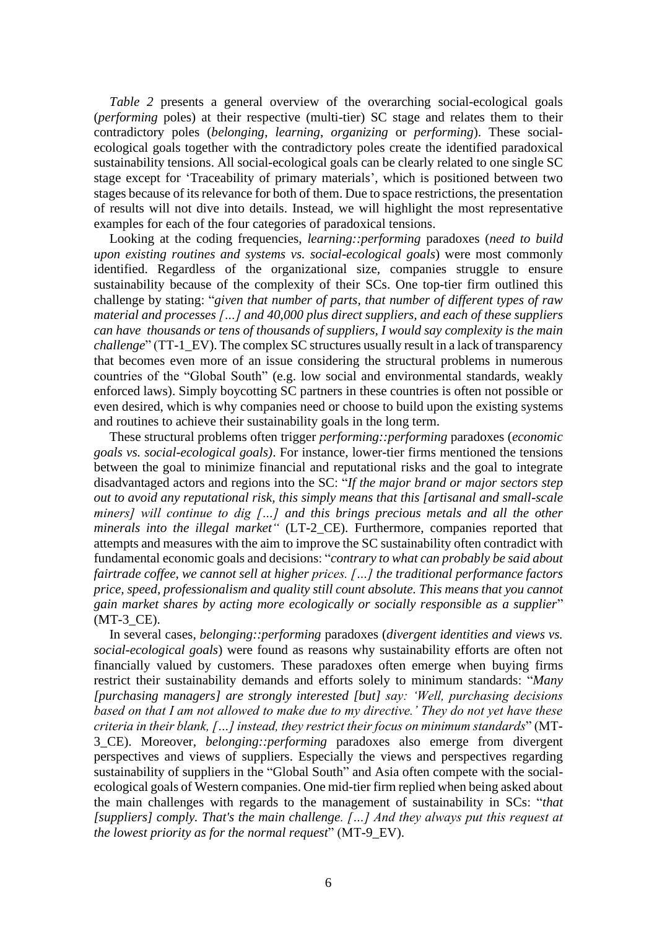*[Table 2](#page-4-0)* presents a general overview of the overarching social-ecological goals (*performing* poles) at their respective (multi-tier) SC stage and relates them to their contradictory poles (*belonging*, *learning*, *organizing* or *performing*). These socialecological goals together with the contradictory poles create the identified paradoxical sustainability tensions. All social-ecological goals can be clearly related to one single SC stage except for 'Traceability of primary materials', which is positioned between two stages because of its relevance for both of them. Due to space restrictions, the presentation of results will not dive into details. Instead, we will highlight the most representative examples for each of the four categories of paradoxical tensions.

Looking at the coding frequencies, *learning::performing* paradoxes (*need to build upon existing routines and systems vs. social-ecological goals*) were most commonly identified. Regardless of the organizational size, companies struggle to ensure sustainability because of the complexity of their SCs. One top-tier firm outlined this challenge by stating: "*given that number of parts, that number of different types of raw material and processes […] and 40,000 plus direct suppliers, and each of these suppliers can have thousands or tens of thousands of suppliers, I would say complexity is the main challenge*" (TT-1 EV). The complex SC structures usually result in a lack of transparency that becomes even more of an issue considering the structural problems in numerous countries of the "Global South" (e.g. low social and environmental standards, weakly enforced laws). Simply boycotting SC partners in these countries is often not possible or even desired, which is why companies need or choose to build upon the existing systems and routines to achieve their sustainability goals in the long term.

These structural problems often trigger *performing::performing* paradoxes (*economic goals vs. social-ecological goals)*. For instance, lower-tier firms mentioned the tensions between the goal to minimize financial and reputational risks and the goal to integrate disadvantaged actors and regions into the SC: "*If the major brand or major sectors step out to avoid any reputational risk, this simply means that this [artisanal and small-scale miners] will continue to dig […] and this brings precious metals and all the other minerals into the illegal market"* (LT-2\_CE). Furthermore, companies reported that attempts and measures with the aim to improve the SC sustainability often contradict with fundamental economic goals and decisions: "*contrary to what can probably be said about fairtrade coffee, we cannot sell at higher prices. […] the traditional performance factors price, speed, professionalism and quality still count absolute. This means that you cannot gain market shares by acting more ecologically or socially responsible as a supplier*" (MT-3\_CE).

In several cases, *belonging::performing* paradoxes (*divergent identities and views vs. social-ecological goals*) were found as reasons why sustainability efforts are often not financially valued by customers. These paradoxes often emerge when buying firms restrict their sustainability demands and efforts solely to minimum standards: "*Many [purchasing managers] are strongly interested [but] say: 'Well, purchasing decisions based on that I am not allowed to make due to my directive.' They do not yet have these criteria in their blank, […] instead, they restrict their focus on minimum standards*" (MT-3\_CE). Moreover, *belonging::performing* paradoxes also emerge from divergent perspectives and views of suppliers. Especially the views and perspectives regarding sustainability of suppliers in the "Global South" and Asia often compete with the socialecological goals of Western companies. One mid-tier firm replied when being asked about the main challenges with regards to the management of sustainability in SCs: "*that [suppliers] comply. That's the main challenge. […] And they always put this request at the lowest priority as for the normal request*" (MT-9\_EV).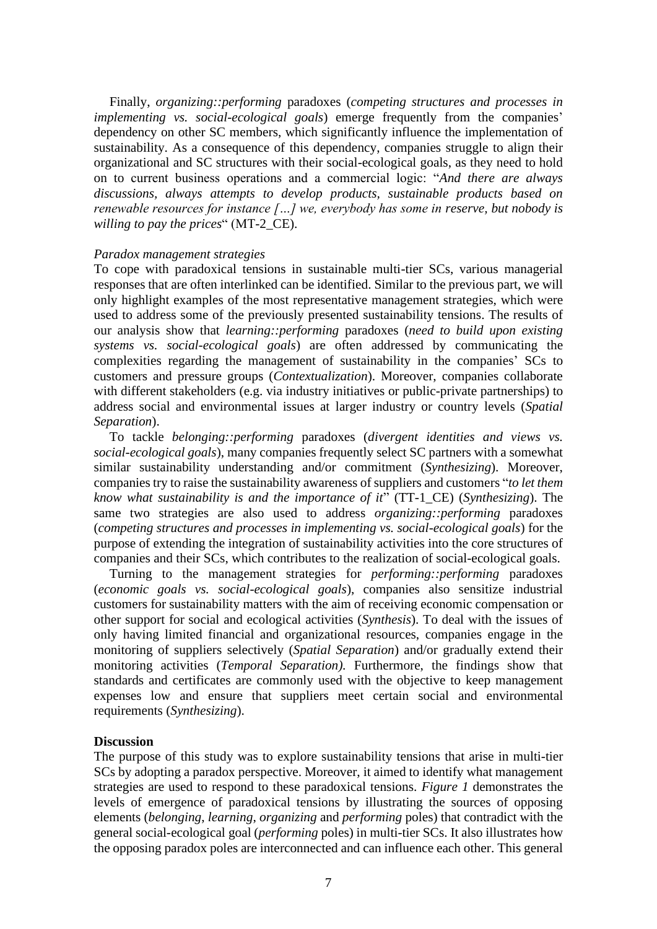Finally, *organizing::performing* paradoxes (*competing structures and processes in implementing vs. social-ecological goals*) emerge frequently from the companies' dependency on other SC members, which significantly influence the implementation of sustainability. As a consequence of this dependency, companies struggle to align their organizational and SC structures with their social-ecological goals, as they need to hold on to current business operations and a commercial logic: "*And there are always discussions, always attempts to develop products, sustainable products based on renewable resources for instance […] we, everybody has some in reserve, but nobody is willing to pay the prices*" (MT-2\_CE).

## *Paradox management strategies*

To cope with paradoxical tensions in sustainable multi-tier SCs, various managerial responses that are often interlinked can be identified. Similar to the previous part, we will only highlight examples of the most representative management strategies, which were used to address some of the previously presented sustainability tensions. The results of our analysis show that *learning::performing* paradoxes (*need to build upon existing systems vs. social-ecological goals*) are often addressed by communicating the complexities regarding the management of sustainability in the companies' SCs to customers and pressure groups (*Contextualization*). Moreover, companies collaborate with different stakeholders (e.g. via industry initiatives or public-private partnerships) to address social and environmental issues at larger industry or country levels (*Spatial Separation*).

To tackle *belonging::performing* paradoxes (*divergent identities and views vs. social-ecological goals*), many companies frequently select SC partners with a somewhat similar sustainability understanding and/or commitment (*Synthesizing*). Moreover, companies try to raise the sustainability awareness of suppliers and customers "*to let them know what sustainability is and the importance of it*" (TT-1\_CE) (*Synthesizing*). The same two strategies are also used to address *organizing::performing* paradoxes (*competing structures and processes in implementing vs. social-ecological goals*) for the purpose of extending the integration of sustainability activities into the core structures of companies and their SCs, which contributes to the realization of social-ecological goals.

Turning to the management strategies for *performing::performing* paradoxes (*economic goals vs. social-ecological goals*), companies also sensitize industrial customers for sustainability matters with the aim of receiving economic compensation or other support for social and ecological activities (*Synthesis*). To deal with the issues of only having limited financial and organizational resources, companies engage in the monitoring of suppliers selectively (*Spatial Separation*) and/or gradually extend their monitoring activities (*Temporal Separation).* Furthermore, the findings show that standards and certificates are commonly used with the objective to keep management expenses low and ensure that suppliers meet certain social and environmental requirements (*Synthesizing*).

## **Discussion**

The purpose of this study was to explore sustainability tensions that arise in multi-tier SCs by adopting a paradox perspective. Moreover, it aimed to identify what management strategies are used to respond to these paradoxical tensions. *[Figure 1](#page-7-0)* demonstrates the levels of emergence of paradoxical tensions by illustrating the sources of opposing elements (*belonging*, *learning*, *organizing* and *performing* poles) that contradict with the general social-ecological goal (*performing* poles) in multi-tier SCs. It also illustrates how the opposing paradox poles are interconnected and can influence each other. This general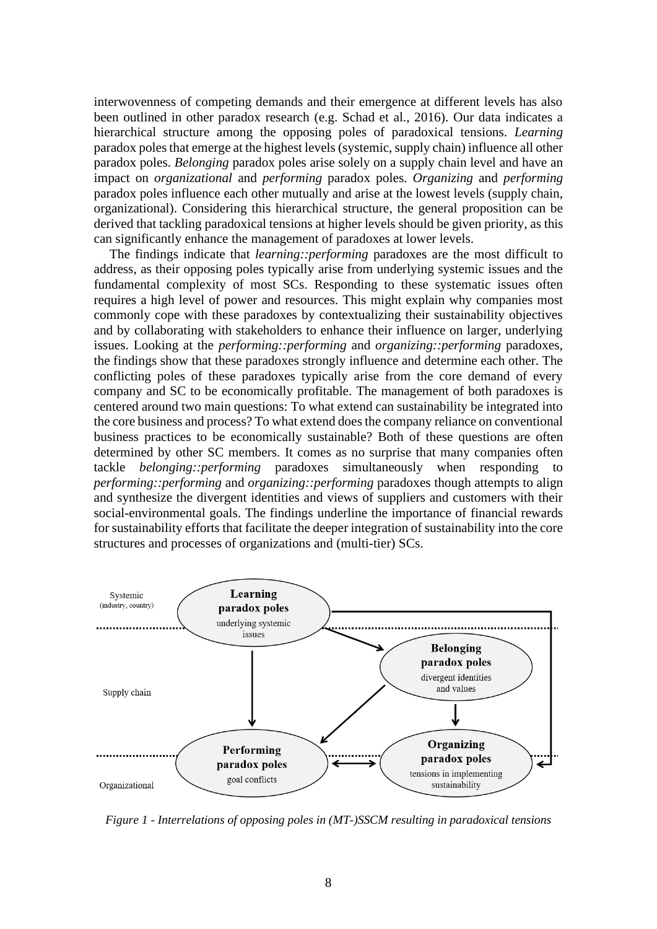interwovenness of competing demands and their emergence at different levels has also been outlined in other paradox research (e.g. Schad et al., 2016). Our data indicates a hierarchical structure among the opposing poles of paradoxical tensions*. Learning* paradox poles that emerge at the highest levels (systemic, supply chain) influence all other paradox poles. *Belonging* paradox poles arise solely on a supply chain level and have an impact on *organizational* and *performing* paradox poles. *Organizing* and *performing* paradox poles influence each other mutually and arise at the lowest levels (supply chain, organizational). Considering this hierarchical structure, the general proposition can be derived that tackling paradoxical tensions at higher levels should be given priority, as this can significantly enhance the management of paradoxes at lower levels.

The findings indicate that *learning::performing* paradoxes are the most difficult to address, as their opposing poles typically arise from underlying systemic issues and the fundamental complexity of most SCs. Responding to these systematic issues often requires a high level of power and resources. This might explain why companies most commonly cope with these paradoxes by contextualizing their sustainability objectives and by collaborating with stakeholders to enhance their influence on larger, underlying issues. Looking at the *performing::performing* and *organizing::performing* paradoxes, the findings show that these paradoxes strongly influence and determine each other. The conflicting poles of these paradoxes typically arise from the core demand of every company and SC to be economically profitable. The management of both paradoxes is centered around two main questions: To what extend can sustainability be integrated into the core business and process? To what extend does the company reliance on conventional business practices to be economically sustainable? Both of these questions are often determined by other SC members. It comes as no surprise that many companies often tackle *belonging::performing* paradoxes simultaneously when responding *performing::performing* and *organizing::performing* paradoxes though attempts to align and synthesize the divergent identities and views of suppliers and customers with their social-environmental goals. The findings underline the importance of financial rewards for sustainability efforts that facilitate the deeper integration of sustainability into the core structures and processes of organizations and (multi-tier) SCs.



<span id="page-7-0"></span>*Figure 1 - Interrelations of opposing poles in (MT-)SSCM resulting in paradoxical tensions*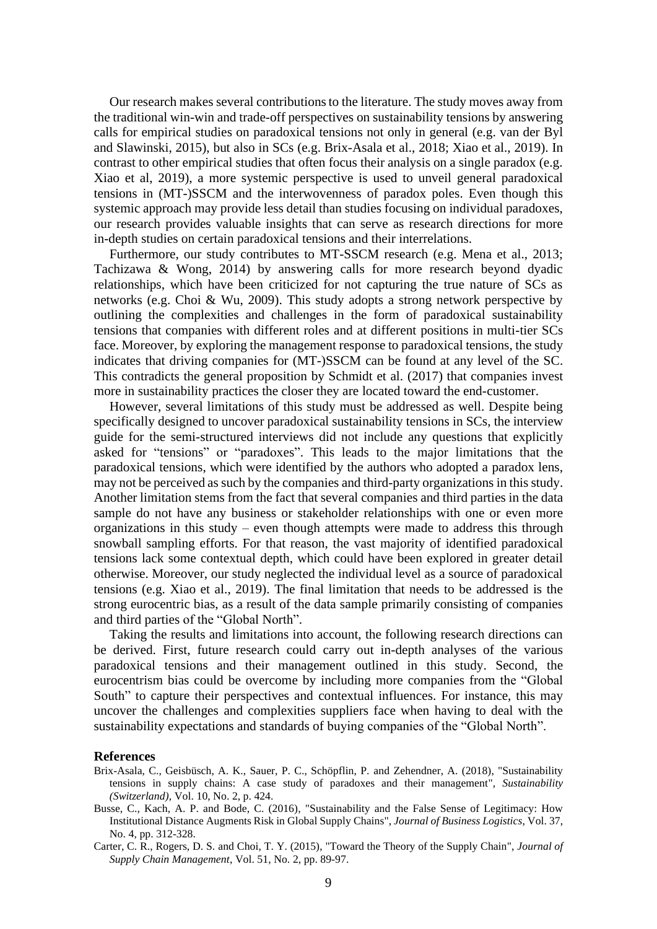Our research makes several contributionsto the literature. The study moves away from the traditional win-win and trade-off perspectives on sustainability tensions by answering calls for empirical studies on paradoxical tensions not only in general (e.g. van der Byl and Slawinski, 2015), but also in SCs (e.g. Brix-Asala et al., 2018; Xiao et al., 2019). In contrast to other empirical studies that often focus their analysis on a single paradox (e.g. Xiao et al, 2019), a more systemic perspective is used to unveil general paradoxical tensions in (MT-)SSCM and the interwovenness of paradox poles. Even though this systemic approach may provide less detail than studies focusing on individual paradoxes, our research provides valuable insights that can serve as research directions for more in-depth studies on certain paradoxical tensions and their interrelations.

Furthermore, our study contributes to MT-SSCM research (e.g. Mena et al., 2013; Tachizawa & Wong, 2014) by answering calls for more research beyond dyadic relationships, which have been criticized for not capturing the true nature of SCs as networks (e.g. Choi & Wu, 2009). This study adopts a strong network perspective by outlining the complexities and challenges in the form of paradoxical sustainability tensions that companies with different roles and at different positions in multi-tier SCs face. Moreover, by exploring the management response to paradoxical tensions, the study indicates that driving companies for (MT-)SSCM can be found at any level of the SC. This contradicts the general proposition by Schmidt et al. (2017) that companies invest more in sustainability practices the closer they are located toward the end-customer.

However, several limitations of this study must be addressed as well. Despite being specifically designed to uncover paradoxical sustainability tensions in SCs, the interview guide for the semi-structured interviews did not include any questions that explicitly asked for "tensions" or "paradoxes". This leads to the major limitations that the paradoxical tensions, which were identified by the authors who adopted a paradox lens, may not be perceived as such by the companies and third-party organizations in this study. Another limitation stems from the fact that several companies and third parties in the data sample do not have any business or stakeholder relationships with one or even more organizations in this study – even though attempts were made to address this through snowball sampling efforts. For that reason, the vast majority of identified paradoxical tensions lack some contextual depth, which could have been explored in greater detail otherwise. Moreover, our study neglected the individual level as a source of paradoxical tensions (e.g. Xiao et al., 2019). The final limitation that needs to be addressed is the strong eurocentric bias, as a result of the data sample primarily consisting of companies and third parties of the "Global North".

Taking the results and limitations into account, the following research directions can be derived. First, future research could carry out in-depth analyses of the various paradoxical tensions and their management outlined in this study. Second, the eurocentrism bias could be overcome by including more companies from the "Global South" to capture their perspectives and contextual influences. For instance, this may uncover the challenges and complexities suppliers face when having to deal with the sustainability expectations and standards of buying companies of the "Global North".

#### **References**

- Brix-Asala, C., Geisbüsch, A. K., Sauer, P. C., Schöpflin, P. and Zehendner, A. (2018), "Sustainability tensions in supply chains: A case study of paradoxes and their management", *Sustainability (Switzerland)*, Vol. 10, No. 2, p. 424.
- Busse, C., Kach, A. P. and Bode, C. (2016), "Sustainability and the False Sense of Legitimacy: How Institutional Distance Augments Risk in Global Supply Chains", *Journal of Business Logistics*, Vol. 37, No. 4, pp. 312-328.
- Carter, C. R., Rogers, D. S. and Choi, T. Y. (2015), "Toward the Theory of the Supply Chain", *Journal of Supply Chain Management*, Vol. 51, No. 2, pp. 89-97.